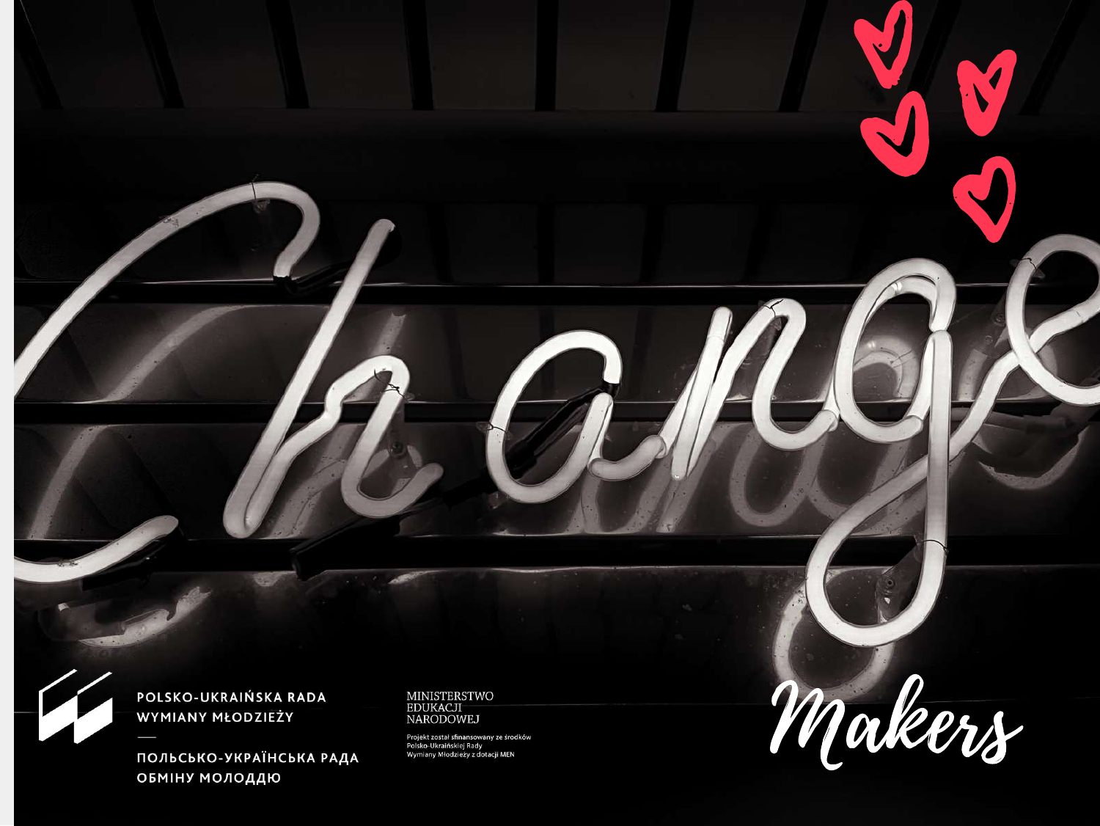

#### POLSKO-UKRAIŃSKA RADA **WYMIANY MŁODZIEŻY**

ПОЛЬСЬКО-УКРАЇНСЬКА РАДА **ОБМІНУ МОЛОДДЮ** 

MINISTERSTWO<br>EDUKACJI<br>NARODOWEJ

Projekt został sfinansowany ze środków<br>Polsko-Ukraińskiej Rady<br>Wymiany Młodzieży z dotacji MEN

Makers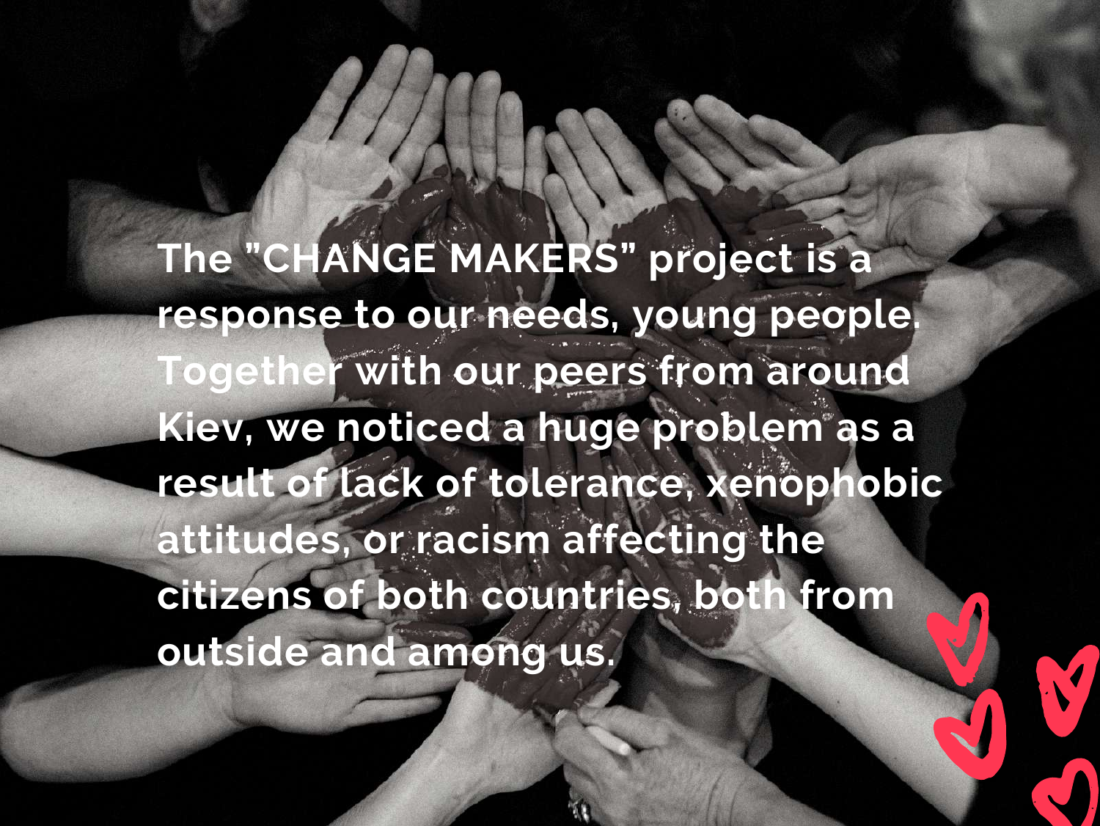**The "CHANGE MAKERS" project is a response to our needs, young people. Together with our peers from around Kiev, we noticed a huge problem as a result of lack of tolerance, xenophobic attitudes, or racism affecting the citizens of both countries, both from outside and among us.**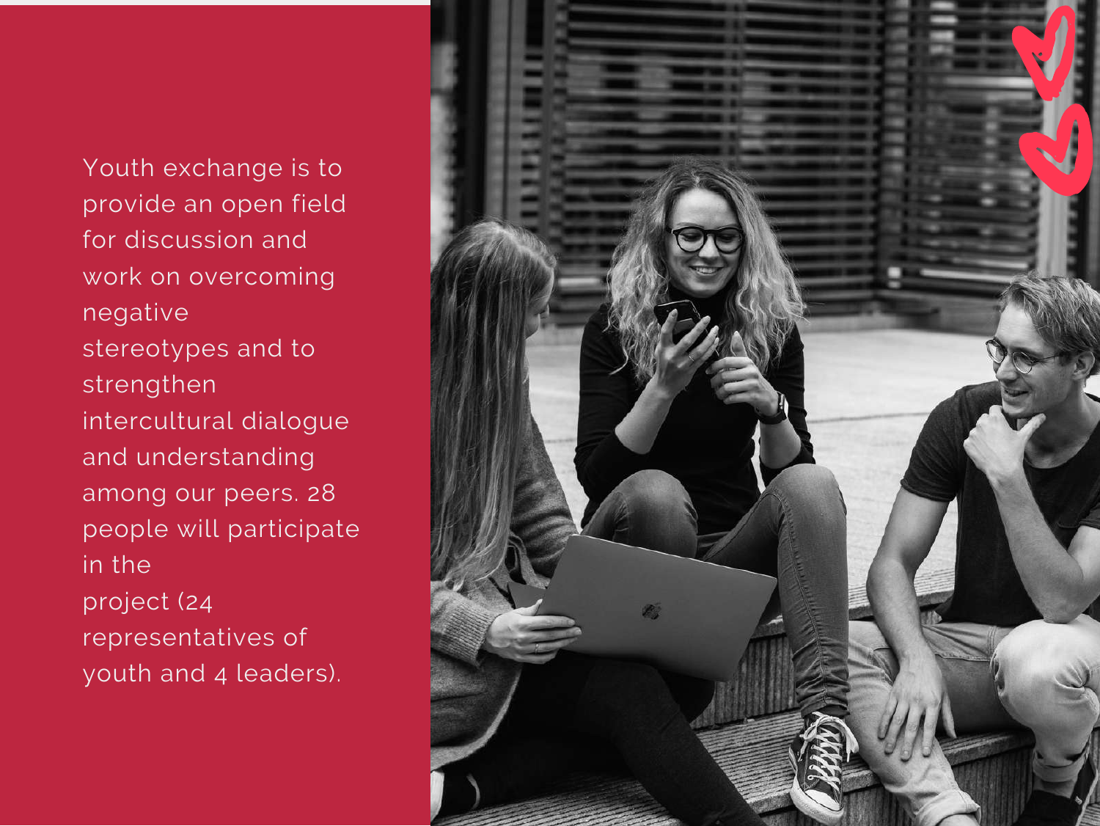Youth exchange is to provide an open field for discussion and work on overcoming negative stereotypes and to strengthen intercultural dialogue and understanding among our peers. 28 people will participate in the project (24 representatives of youth and 4 leaders).

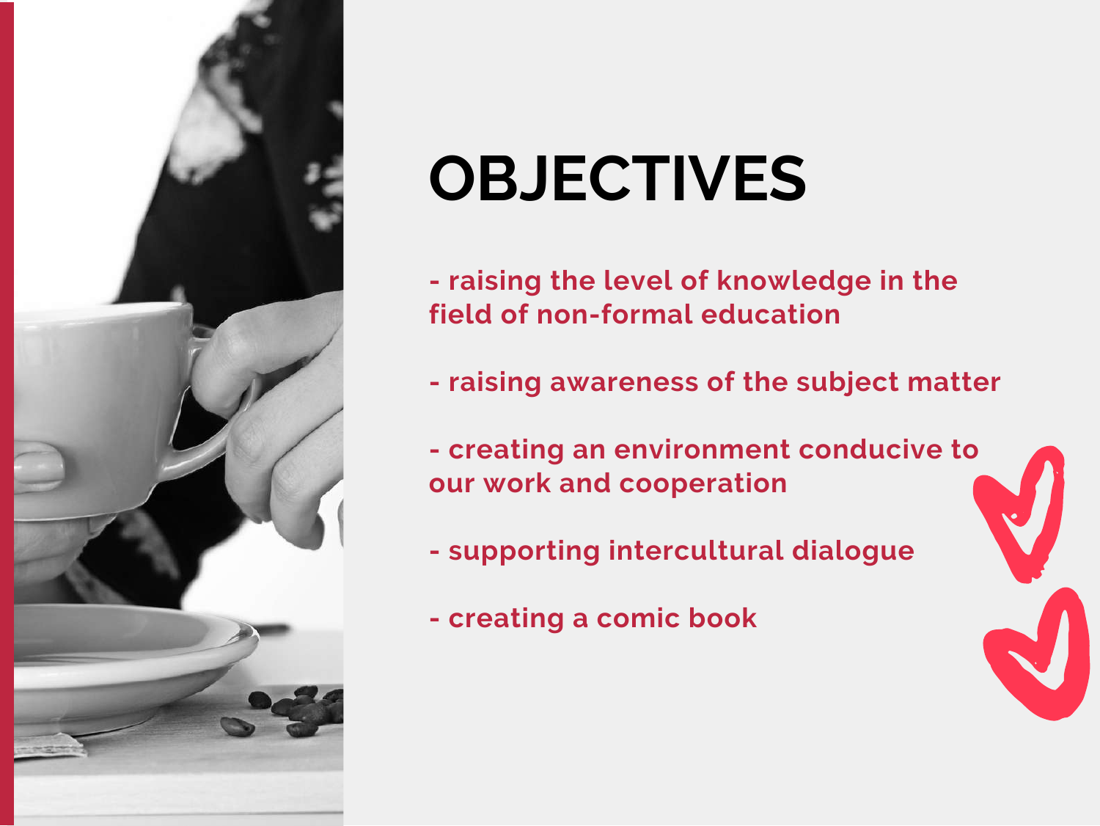

## **OBJECTIVES**

- **- raising the level of knowledge in the field of non-formal education**
- **- raising awareness of the subject matter**
- **- creating an environment conducive to our work and cooperation**
- **- supporting intercultural dialogue**
- **- creating a comic book**

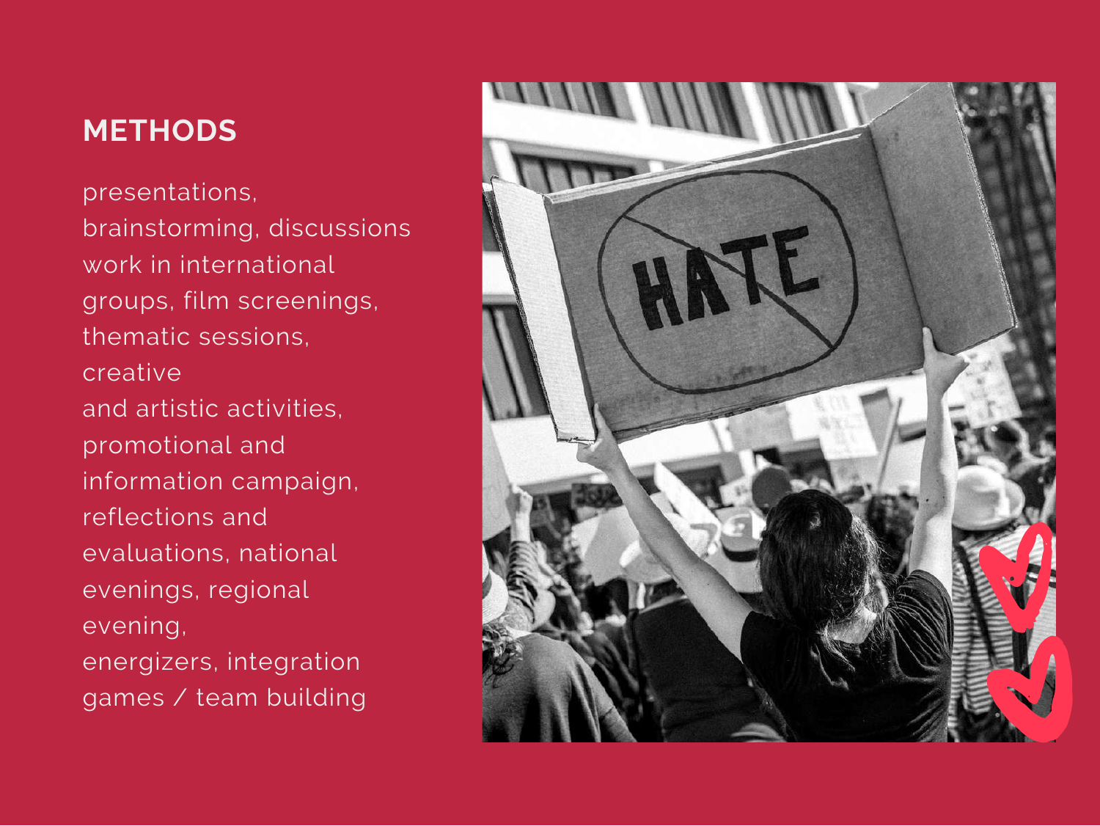#### **METHODS**

presentations, brainstorming, discussions work in international groups, film screenings, thematic sessions, creative and artistic activities, promotional and information campaign, reflections and evaluations, national evenings, regional evening, energizers, integration games / team building

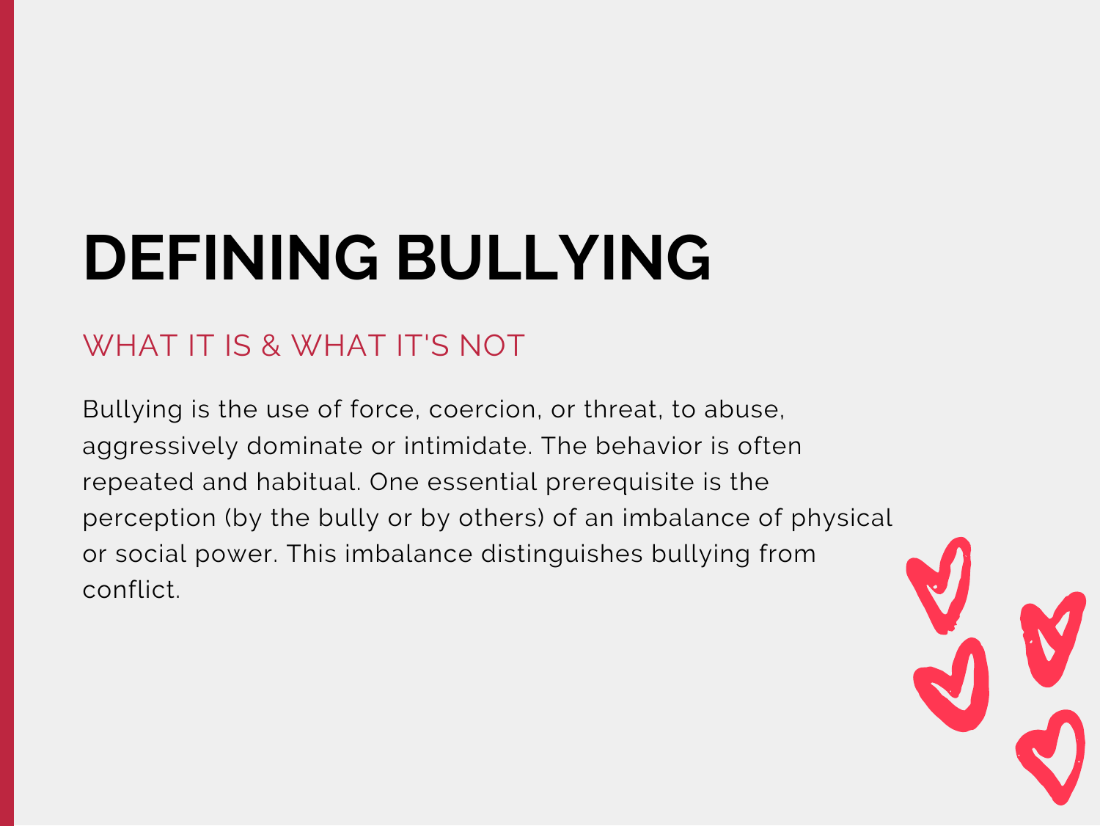### **DEFINING BULLYING**

#### WHAT IT IS & WHAT IT'S NOT

Bullying is the use of force, coercion, or threat, to abuse, aggressively dominate or intimidate. The behavior is often repeated and habitual. One essential prerequisite is the perception (by the bully or by others) of an imbalance of physical or social power. This imbalance distinguishes bullying from conflict.

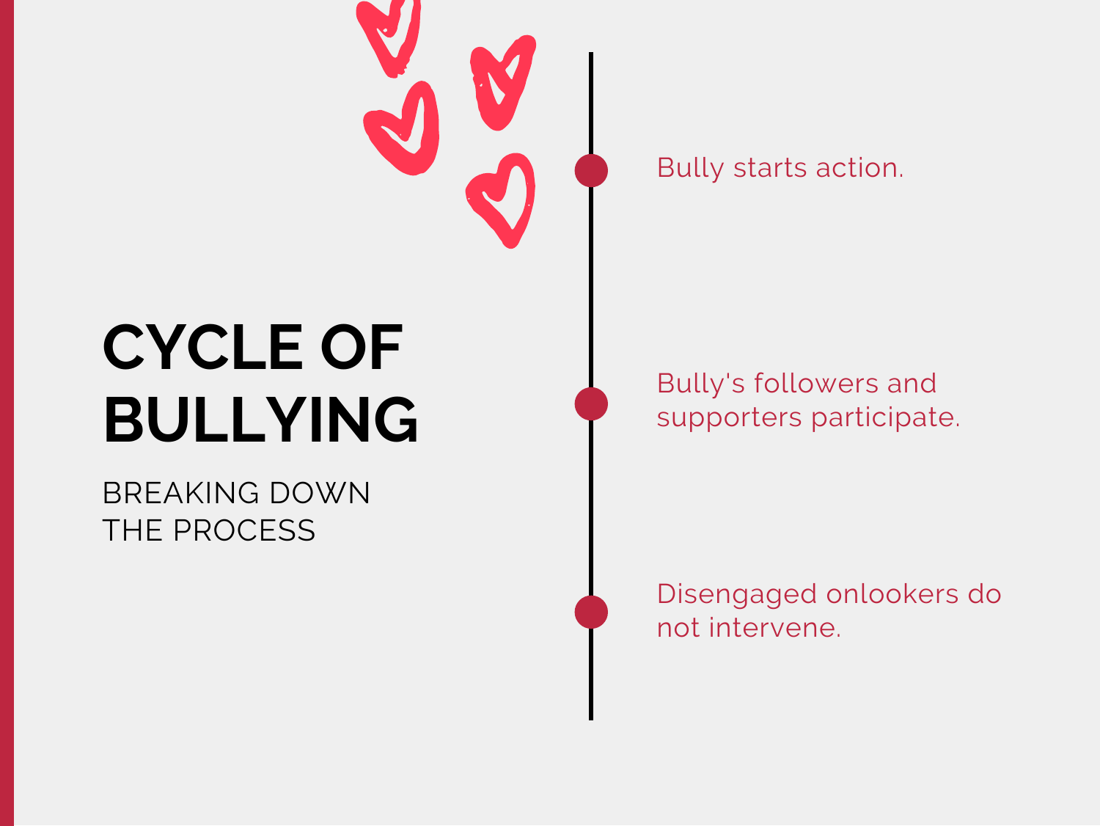

## **CYCLE OF BULLYING**

#### BREAKING DOWN THE PROCESS

Bully starts action.

Bully's followers and supporters participate.

Disengaged onlookers do not intervene.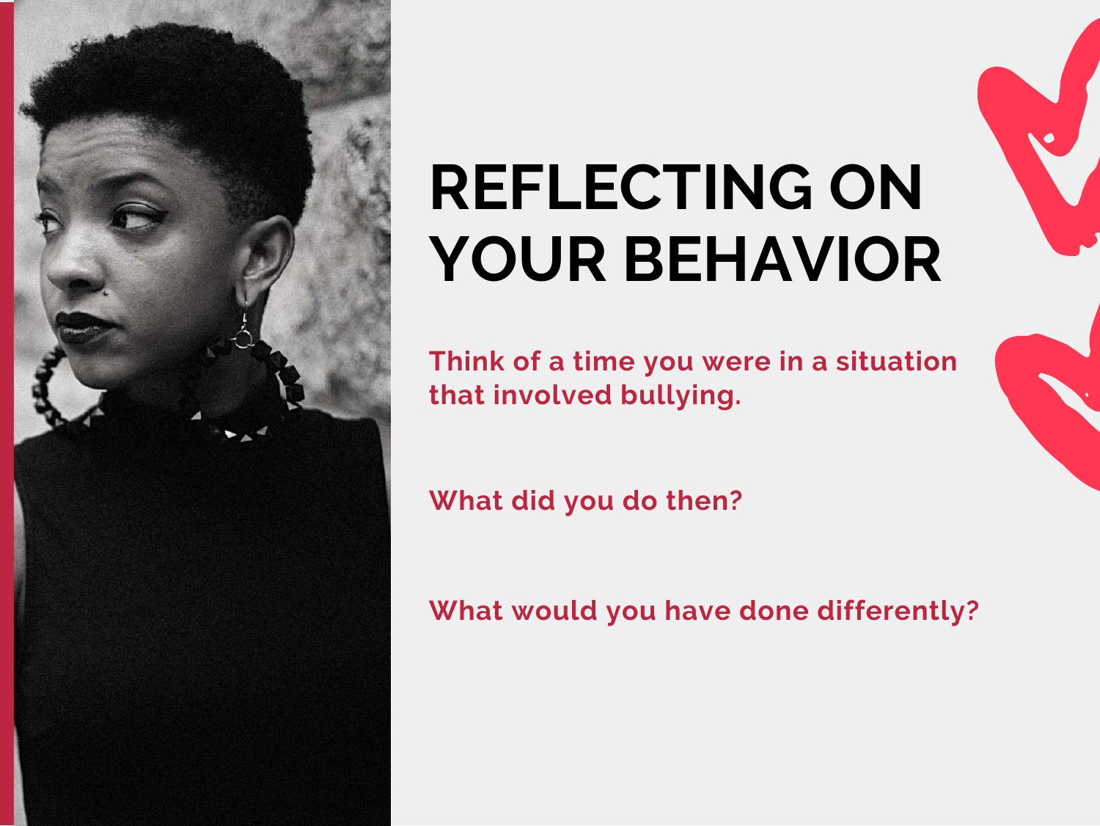

### **REFLECTING ON YOUR BEHAVIOR**

**Think of a time you were in a situation that involved bullying.**

**What did you do then?**

**What would you have done differently?**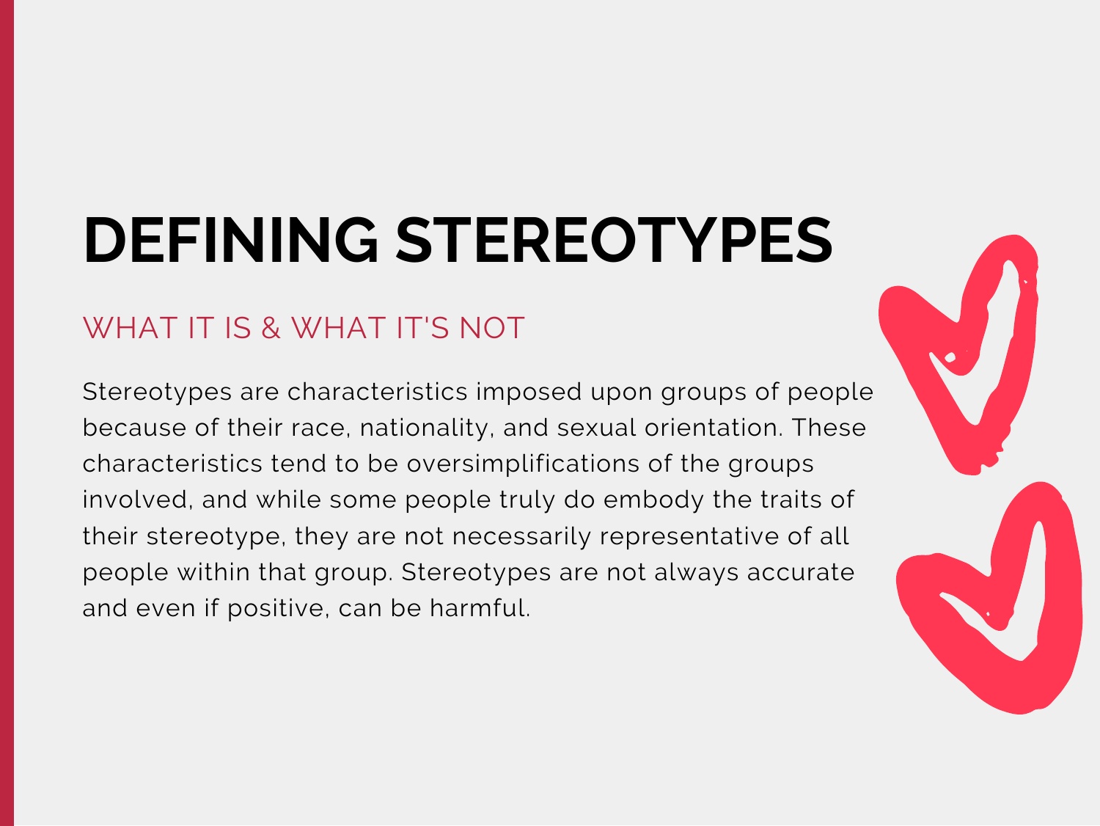# **DEFINING STEREOTYPES**

#### WHAT IT IS & WHAT IT'S NOT

Stereotypes are characteristics imposed upon groups of people because of their race, nationality, and sexual orientation. These characteristics tend to be oversimplifications of the groups involved, and while some people truly do embody the traits of their stereotype, they are not necessarily representative of all people within that group. Stereotypes are not always accurate and even if positive, can be harmful.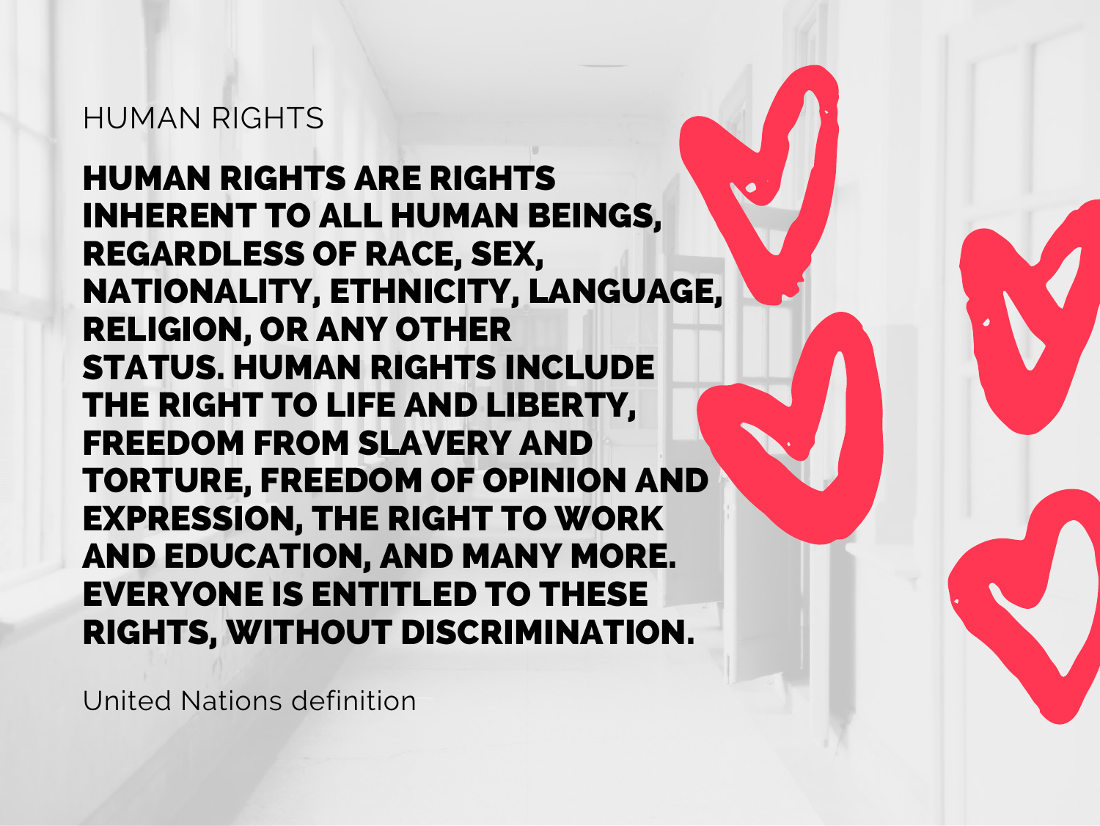#### HUMAN RIGHTS

HUMAN RIGHTS ARE RIGHTS INHERENT TO ALL HUMAN BEINGS, REGARDLESS OF RACE, SEX, NATIONALITY, ETHNICITY, LANGUAGE, RELIGION, OR ANY OTHER STATUS. HUMAN RIGHTS INCLUDE THE RIGHT TO LIFE AND LIBERTY, FREEDOM FROM SLAVERY AND TORTURE, FREEDOM OF OPINION AND EXPRESSION, THE RIGHT TO WORK AND EDUCATION, AND MANY MORE. EVERYONE IS ENTITLED TO THESE RIGHTS, WITHOUT DISCRIMINATION.

United Nations definition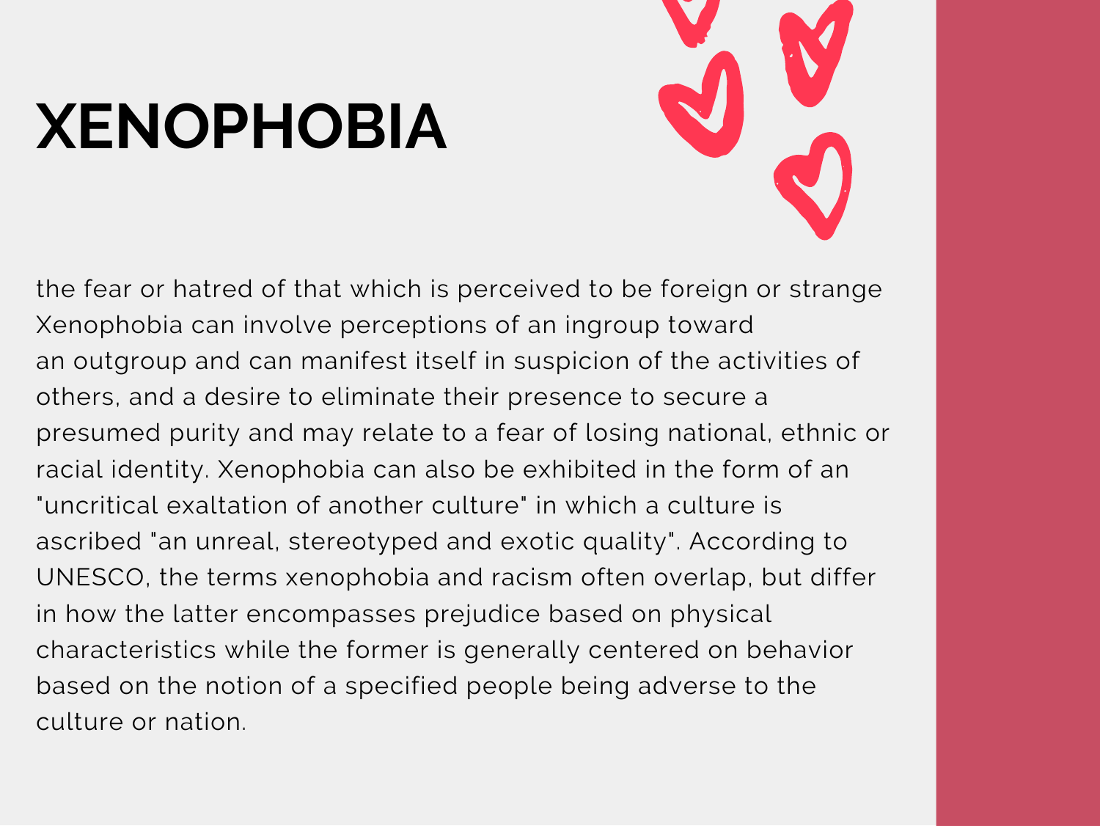### **XENOPHOBIA**



the fear or hatred of that which is perceived to be foreign or strange Xenophobia can involve perceptions of an ingroup toward an outgroup and can manifest itself in suspicion of the activities of others, and a desire to eliminate their presence to secure a presumed purity and may relate to a fear of losing national, ethnic or racial identity. Xenophobia can also be exhibited in the form of an "uncritical exaltation of another culture" in which a culture is ascribed "an unreal, stereotyped and exotic quality". According to UNESCO, the terms xenophobia and racism often overlap, but differ in how the latter encompasses prejudice based on physical characteristics while the former is generally centered on behavior based on the notion of a specified people being adverse to the culture or nation.